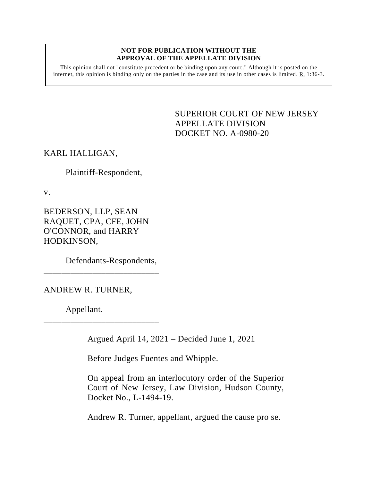#### **NOT FOR PUBLICATION WITHOUT THE APPROVAL OF THE APPELLATE DIVISION**

This opinion shall not "constitute precedent or be binding upon any court." Although it is posted on the internet, this opinion is binding only on the parties in the case and its use in other cases is limited.  $R_1$  1:36-3.

> <span id="page-0-0"></span>SUPERIOR COURT OF NEW JERSEY APPELLATE DIVISION DOCKET NO. A-0980-20

## KARL HALLIGAN,

Plaintiff-Respondent,

v.

BEDERSON, LLP, SEAN RAQUET, CPA, CFE, JOHN O'CONNOR, and HARRY HODKINSON,

Defendants-Respondents,

\_\_\_\_\_\_\_\_\_\_\_\_\_\_\_\_\_\_\_\_\_\_\_\_\_\_

\_\_\_\_\_\_\_\_\_\_\_\_\_\_\_\_\_\_\_\_\_\_\_\_\_\_

ANDREW R. TURNER,

Appellant.

Argued April 14, 2021 – Decided June 1, 2021

Before Judges Fuentes and Whipple.

On appeal from an interlocutory order of the Superior Court of New Jersey, Law Division, Hudson County, Docket No., L-1494-19.

Andrew R. Turner, appellant, argued the cause pro se.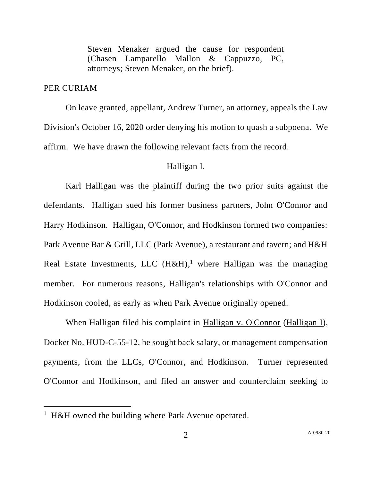Steven Menaker argued the cause for respondent (Chasen Lamparello Mallon & Cappuzzo, PC, attorneys; Steven Menaker, on the brief).

## PER CURIAM

On leave granted, appellant, Andrew Turner, an attorney, appeals the Law Division's October 16, 2020 order denying his motion to quash a subpoena. We affirm. We have drawn the following relevant facts from the record.

#### Halligan I.

Karl Halligan was the plaintiff during the two prior suits against the defendants. Halligan sued his former business partners, John O'Connor and Harry Hodkinson. Halligan, O'Connor, and Hodkinson formed two companies: Park Avenue Bar & Grill, LLC (Park Avenue), a restaurant and tavern; and H&H Real Estate Investments, LLC  $(H&H)<sup>1</sup>$  where Halligan was the managing member. For numerous reasons, Halligan's relationships with O'Connor and Hodkinson cooled, as early as when Park Avenue originally opened.

When Halligan filed his complaint in Halligan v. O'Connor (Halligan I), Docket No. HUD-C-55-12, he sought back salary, or management compensation payments, from the LLCs, O'Connor, and Hodkinson. Turner represented O'Connor and Hodkinson, and filed an answer and counterclaim seeking to

<sup>&</sup>lt;sup>1</sup> H&H owned the building where Park Avenue operated.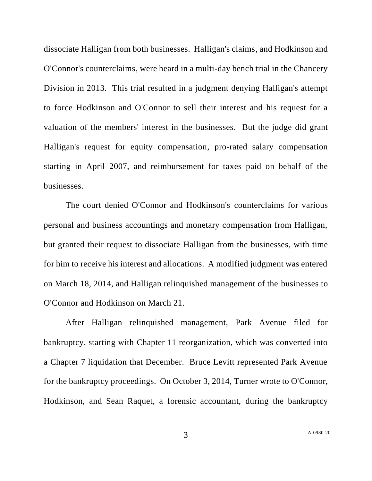dissociate Halligan from both businesses. Halligan's claims, and Hodkinson and O'Connor's counterclaims, were heard in a multi-day bench trial in the Chancery Division in 2013. This trial resulted in a judgment denying Halligan's attempt to force Hodkinson and O'Connor to sell their interest and his request for a valuation of the members' interest in the businesses. But the judge did grant Halligan's request for equity compensation, pro-rated salary compensation starting in April 2007, and reimbursement for taxes paid on behalf of the businesses.

The court denied O'Connor and Hodkinson's counterclaims for various personal and business accountings and monetary compensation from Halligan, but granted their request to dissociate Halligan from the businesses, with time for him to receive his interest and allocations. A modified judgment was entered on March 18, 2014, and Halligan relinquished management of the businesses to O'Connor and Hodkinson on March 21.

After Halligan relinquished management, Park Avenue filed for bankruptcy, starting with Chapter 11 reorganization, which was converted into a Chapter 7 liquidation that December. Bruce Levitt represented Park Avenue for the bankruptcy proceedings. On October 3, 2014, Turner wrote to O'Connor, Hodkinson, and Sean Raquet, a forensic accountant, during the bankruptcy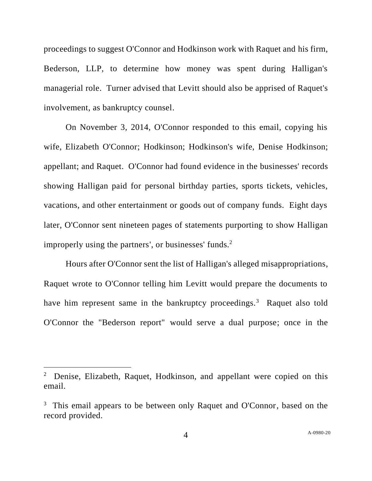proceedings to suggest O'Connor and Hodkinson work with Raquet and his firm, Bederson, LLP, to determine how money was spent during Halligan's managerial role. Turner advised that Levitt should also be apprised of Raquet's involvement, as bankruptcy counsel.

On November 3, 2014, O'Connor responded to this email, copying his wife, Elizabeth O'Connor; Hodkinson; Hodkinson's wife, Denise Hodkinson; appellant; and Raquet. O'Connor had found evidence in the businesses' records showing Halligan paid for personal birthday parties, sports tickets, vehicles, vacations, and other entertainment or goods out of company funds. Eight days later, O'Connor sent nineteen pages of statements purporting to show Halligan improperly using the partners', or businesses' funds. $2^2$ 

Hours after O'Connor sent the list of Halligan's alleged misappropriations, Raquet wrote to O'Connor telling him Levitt would prepare the documents to have him represent same in the bankruptcy proceedings.<sup>3</sup> Raquet also told O'Connor the "Bederson report" would serve a dual purpose; once in the

<sup>2</sup> Denise, Elizabeth, Raquet, Hodkinson, and appellant were copied on this email.

<sup>&</sup>lt;sup>3</sup> This email appears to be between only Raquet and O'Connor, based on the record provided.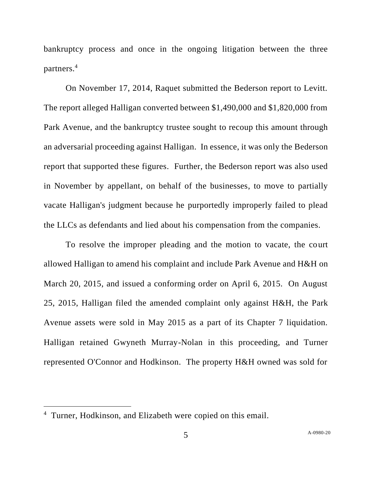bankruptcy process and once in the ongoing litigation between the three partners.<sup>4</sup>

On November 17, 2014, Raquet submitted the Bederson report to Levitt. The report alleged Halligan converted between \$1,490,000 and \$1,820,000 from Park Avenue, and the bankruptcy trustee sought to recoup this amount through an adversarial proceeding against Halligan. In essence, it was only the Bederson report that supported these figures. Further, the Bederson report was also used in November by appellant, on behalf of the businesses, to move to partially vacate Halligan's judgment because he purportedly improperly failed to plead the LLCs as defendants and lied about his compensation from the companies.

To resolve the improper pleading and the motion to vacate, the court allowed Halligan to amend his complaint and include Park Avenue and H&H on March 20, 2015, and issued a conforming order on April 6, 2015. On August 25, 2015, Halligan filed the amended complaint only against H&H, the Park Avenue assets were sold in May 2015 as a part of its Chapter 7 liquidation. Halligan retained Gwyneth Murray-Nolan in this proceeding, and Turner represented O'Connor and Hodkinson. The property H&H owned was sold for

<sup>&</sup>lt;sup>4</sup> Turner, Hodkinson, and Elizabeth were copied on this email.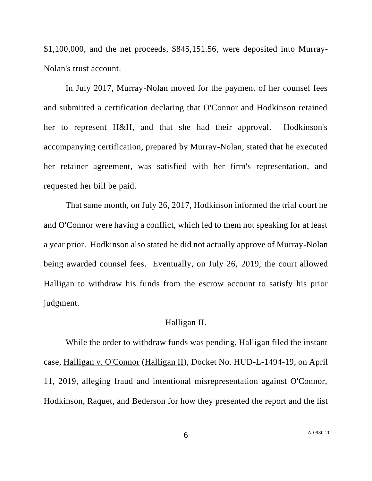\$1,100,000, and the net proceeds, \$845,151.56, were deposited into Murray-Nolan's trust account.

In July 2017, Murray-Nolan moved for the payment of her counsel fees and submitted a certification declaring that O'Connor and Hodkinson retained her to represent H&H, and that she had their approval. Hodkinson's accompanying certification, prepared by Murray-Nolan, stated that he executed her retainer agreement, was satisfied with her firm's representation, and requested her bill be paid.

That same month, on July 26, 2017, Hodkinson informed the trial court he and O'Connor were having a conflict, which led to them not speaking for at least a year prior. Hodkinson also stated he did not actually approve of Murray-Nolan being awarded counsel fees. Eventually, on July 26, 2019, the court allowed Halligan to withdraw his funds from the escrow account to satisfy his prior judgment.

#### Halligan II.

While the order to withdraw funds was pending, Halligan filed the instant case, Halligan v. O'Connor (Halligan II), Docket No. HUD-L-1494-19, on April 11, 2019, alleging fraud and intentional misrepresentation against O'Connor, Hodkinson, Raquet, and Bederson for how they presented the report and the list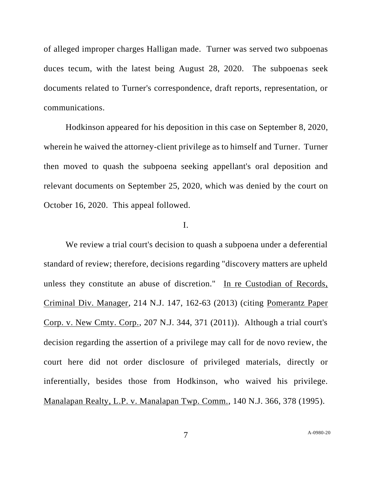of alleged improper charges Halligan made. Turner was served two subpoenas duces tecum, with the latest being August 28, 2020. The subpoenas seek documents related to Turner's correspondence, draft reports, representation, or communications.

Hodkinson appeared for his deposition in this case on September 8, 2020, wherein he waived the attorney-client privilege as to himself and Turner. Turner then moved to quash the subpoena seeking appellant's oral deposition and relevant documents on September 25, 2020, which was denied by the court on October 16, 2020. This appeal followed.

## I.

We review a trial court's decision to quash a subpoena under a deferential standard of review; therefore, decisions regarding "discovery matters are upheld unless they constitute an abuse of discretion." In re Custodian of Records, Criminal Div. Manager, 214 N.J. 147, 162-63 (2013) (citing Pomerantz Paper Corp. v. New Cmty. Corp., 207 N.J. 344, 371 (2011)). Although a trial court's decision regarding the assertion of a privilege may call for de novo review, the court here did not order disclosure of privileged materials, directly or inferentially, besides those from Hodkinson, who waived his privilege. Manalapan Realty, L.P. v. Manalapan Twp. Comm., 140 N.J. 366, 378 (1995).

7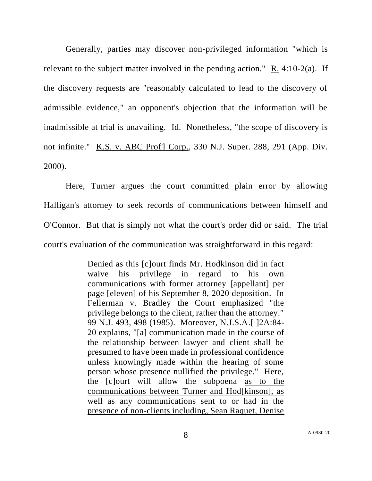Generally, parties may discover non-privileged information "which is relevant to the subject matter involved in the pending action." R. 4:10-2(a). If the discovery requests are "reasonably calculated to lead to the discovery of admissible evidence," an opponent's objection that the information will be inadmissible at trial is unavailing. Id. Nonetheless, "the scope of discovery is not infinite." K.S. v. ABC Prof'l Corp., 330 N.J. Super. 288, 291 (App. Div. 2000).

Here, Turner argues the court committed plain error by allowing Halligan's attorney to seek records of communications between himself and O'Connor. But that is simply not what the court's order did or said. The trial court's evaluation of the communication was straightforward in this regard:

> Denied as this [c]ourt finds Mr. Hodkinson did in fact waive his privilege in regard to his own communications with former attorney [appellant] per page [eleven] of his September 8, 2020 deposition. In Fellerman v. Bradley the Court emphasized "the privilege belongs to the client, rather than the attorney." 99 N.J. 493, 498 (1985). Moreover, N.J.S.A.[ ]2A:84- 20 explains, "[a] communication made in the course of the relationship between lawyer and client shall be presumed to have been made in professional confidence unless knowingly made within the hearing of some person whose presence nullified the privilege." Here, the [c]ourt will allow the subpoena as to the communications between Turner and Hod[kinson], as well as any communications sent to or had in the presence of non-clients including, Sean Raquet, Denise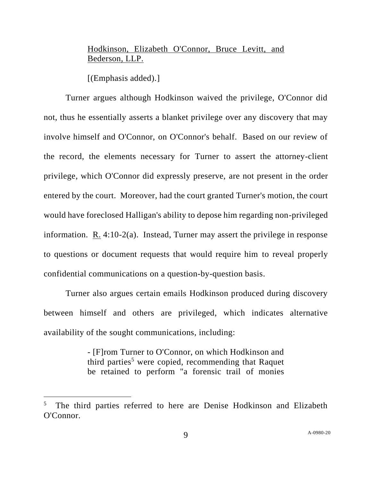# Hodkinson, Elizabeth O'Connor, Bruce Levitt, and Bederson, LLP.

[(Emphasis added).]

Turner argues although Hodkinson waived the privilege, O'Connor did not, thus he essentially asserts a blanket privilege over any discovery that may involve himself and O'Connor, on O'Connor's behalf. Based on our review of the record, the elements necessary for Turner to assert the attorney-client privilege, which O'Connor did expressly preserve, are not present in the order entered by the court. Moreover, had the court granted Turner's motion, the court would have foreclosed Halligan's ability to depose him regarding non-privileged information. R. 4:10-2(a). Instead, Turner may assert the privilege in response to questions or document requests that would require him to reveal properly confidential communications on a question-by-question basis.

Turner also argues certain emails Hodkinson produced during discovery between himself and others are privileged, which indicates alternative availability of the sought communications, including:

> - [F]rom Turner to O'Connor, on which Hodkinson and third parties<sup>5</sup> were copied, recommending that Raquet be retained to perform "a forensic trail of monies

<sup>&</sup>lt;sup>5</sup> The third parties referred to here are Denise Hodkinson and Elizabeth O'Connor.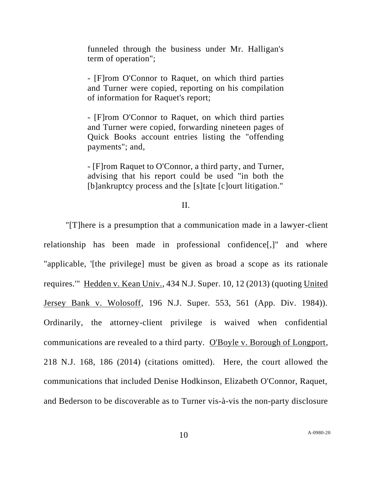funneled through the business under Mr. Halligan's term of operation";

- [F]rom O'Connor to Raquet, on which third parties and Turner were copied, reporting on his compilation of information for Raquet's report;

- [F]rom O'Connor to Raquet, on which third parties and Turner were copied, forwarding nineteen pages of Quick Books account entries listing the "offending payments"; and,

- [F]rom Raquet to O'Connor, a third party, and Turner, advising that his report could be used "in both the [b]ankruptcy process and the [s]tate [c]ourt litigation."

## II.

"[T]here is a presumption that a communication made in a lawyer-client relationship has been made in professional confidence[,]" and where "applicable, '[the privilege] must be given as broad a scope as its rationale requires.'" Hedden v. Kean Univ., 434 N.J. Super. 10, 12 (2013) (quoting United Jersey Bank v. Wolosoff, 196 N.J. Super. 553, 561 (App. Div. 1984)). Ordinarily, the attorney-client privilege is waived when confidential communications are revealed to a third party. O'Boyle v. Borough of Longport, 218 N.J. 168, 186 (2014) (citations omitted). Here, the court allowed the communications that included Denise Hodkinson, Elizabeth O'Connor, Raquet, and Bederson to be discoverable as to Turner vis-à-vis the non-party disclosure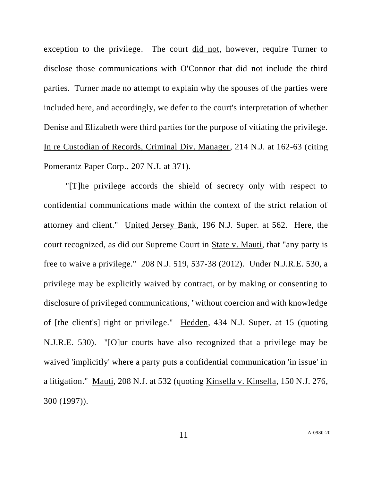exception to the privilege. The court did not, however, require Turner to disclose those communications with O'Connor that did not include the third parties. Turner made no attempt to explain why the spouses of the parties were included here, and accordingly, we defer to the court's interpretation of whether Denise and Elizabeth were third parties for the purpose of vitiating the privilege. In re Custodian of Records, Criminal Div. Manager, 214 N.J. at 162-63 (citing Pomerantz Paper Corp., 207 N.J. at 371).

"[T]he privilege accords the shield of secrecy only with respect to confidential communications made within the context of the strict relation of attorney and client." United Jersey Bank, 196 N.J. Super. at 562. Here, the court recognized, as did our Supreme Court in State v. Mauti, that "any party is free to waive a privilege." 208 N.J. 519, 537-38 (2012). Under N.J.R.E. 530, a privilege may be explicitly waived by contract, or by making or consenting to disclosure of privileged communications, "without coercion and with knowledge of [the client's] right or privilege." Hedden, 434 N.J. Super. at 15 (quoting N.J.R.E. 530). "[O]ur courts have also recognized that a privilege may be waived 'implicitly' where a party puts a confidential communication 'in issue' in a litigation." Mauti, 208 N.J. at 532 (quoting Kinsella v. Kinsella, 150 N.J. 276, 300 (1997)).